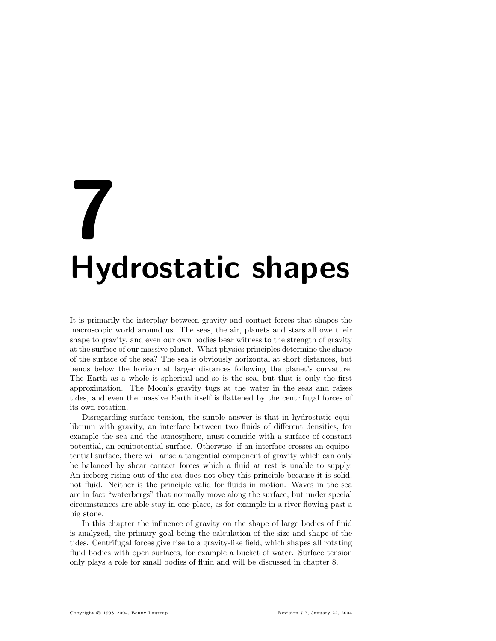# 7 Hydrostatic shapes

It is primarily the interplay between gravity and contact forces that shapes the macroscopic world around us. The seas, the air, planets and stars all owe their shape to gravity, and even our own bodies bear witness to the strength of gravity at the surface of our massive planet. What physics principles determine the shape of the surface of the sea? The sea is obviously horizontal at short distances, but bends below the horizon at larger distances following the planet's curvature. The Earth as a whole is spherical and so is the sea, but that is only the first approximation. The Moon's gravity tugs at the water in the seas and raises tides, and even the massive Earth itself is flattened by the centrifugal forces of its own rotation.

Disregarding surface tension, the simple answer is that in hydrostatic equilibrium with gravity, an interface between two fluids of different densities, for example the sea and the atmosphere, must coincide with a surface of constant potential, an equipotential surface. Otherwise, if an interface crosses an equipotential surface, there will arise a tangential component of gravity which can only be balanced by shear contact forces which a fluid at rest is unable to supply. An iceberg rising out of the sea does not obey this principle because it is solid, not fluid. Neither is the principle valid for fluids in motion. Waves in the sea are in fact "waterbergs" that normally move along the surface, but under special circumstances are able stay in one place, as for example in a river flowing past a big stone.

In this chapter the influence of gravity on the shape of large bodies of fluid is analyzed, the primary goal being the calculation of the size and shape of the tides. Centrifugal forces give rise to a gravity-like field, which shapes all rotating fluid bodies with open surfaces, for example a bucket of water. Surface tension only plays a role for small bodies of fluid and will be discussed in chapter 8.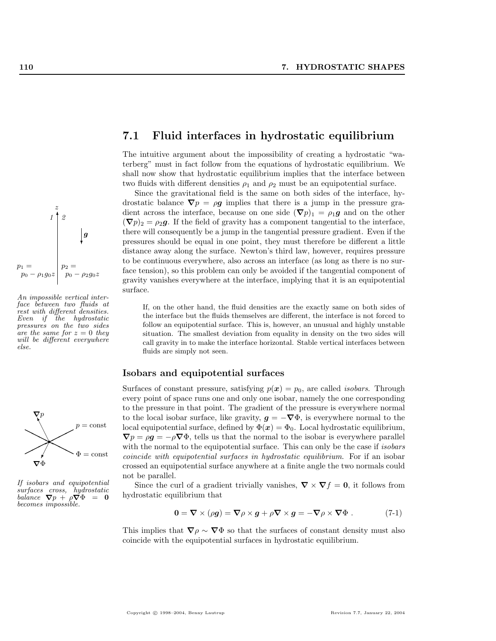

An impossible vertical interface between two fluids at rest with different densities. Even if the hydrostatic pressures on the two sides are the same for  $z = 0$  they will be different everywhere else.



If isobars and equipotential surfaces cross, hydrostatic balance  $\nabla p + \rho \nabla \Phi = 0$ becomes impossible.

## 7.1 Fluid interfaces in hydrostatic equilibrium

The intuitive argument about the impossibility of creating a hydrostatic "waterberg" must in fact follow from the equations of hydrostatic equilibrium. We shall now show that hydrostatic equilibrium implies that the interface between two fluids with different densities  $\rho_1$  and  $\rho_2$  must be an equipotential surface.

Since the gravitational field is the same on both sides of the interface, hydrostatic balance  $\nabla p = \rho g$  implies that there is a jump in the pressure gradient across the interface, because on one side  $(\nabla p)_1 = \rho_1 \mathbf{g}$  and on the other  $(\nabla p)_2 = \rho_2 g$ . If the field of gravity has a component tangential to the interface, there will consequently be a jump in the tangential pressure gradient. Even if the pressures should be equal in one point, they must therefore be different a little distance away along the surface. Newton's third law, however, requires pressure to be continuous everywhere, also across an interface (as long as there is no surface tension), so this problem can only be avoided if the tangential component of gravity vanishes everywhere at the interface, implying that it is an equipotential surface.

If, on the other hand, the fluid densities are the exactly same on both sides of the interface but the fluids themselves are different, the interface is not forced to follow an equipotential surface. This is, however, an unusual and highly unstable situation. The smallest deviation from equality in density on the two sides will call gravity in to make the interface horizontal. Stable vertical interfaces between fluids are simply not seen.

#### Isobars and equipotential surfaces

Surfaces of constant pressure, satisfying  $p(x) = p_0$ , are called *isobars*. Through every point of space runs one and only one isobar, namely the one corresponding to the pressure in that point. The gradient of the pressure is everywhere normal to the local isobar surface, like gravity,  $g = -\nabla \Phi$ , is everywhere normal to the local equipotential surface, defined by  $\Phi(\mathbf{x}) = \Phi_0$ . Local hydrostatic equilibrium,  $\nabla p = \rho g = -\rho \nabla \Phi$ , tells us that the normal to the isobar is everywhere parallel with the normal to the equipotential surface. This can only be the case if *isobars* coincide with equipotential surfaces in hydrostatic equilibrium. For if an isobar crossed an equipotential surface anywhere at a finite angle the two normals could not be parallel.

Since the curl of a gradient trivially vanishes,  $\nabla \times \nabla f = 0$ , it follows from hydrostatic equilibrium that

$$
\mathbf{0} = \nabla \times (\rho \mathbf{g}) = \nabla \rho \times \mathbf{g} + \rho \nabla \times \mathbf{g} = -\nabla \rho \times \nabla \Phi . \tag{7-1}
$$

This implies that  $\nabla \rho \sim \nabla \Phi$  so that the surfaces of constant density must also coincide with the equipotential surfaces in hydrostatic equilibrium.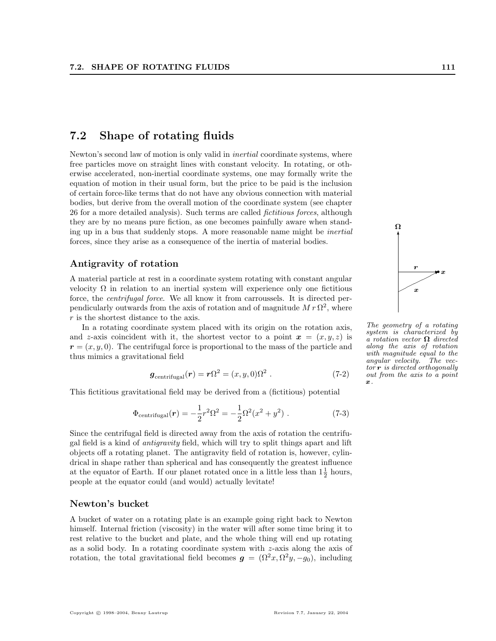# 7.2 Shape of rotating fluids

Newton's second law of motion is only valid in inertial coordinate systems, where free particles move on straight lines with constant velocity. In rotating, or otherwise accelerated, non-inertial coordinate systems, one may formally write the equation of motion in their usual form, but the price to be paid is the inclusion of certain force-like terms that do not have any obvious connection with material bodies, but derive from the overall motion of the coordinate system (see chapter 26 for a more detailed analysis). Such terms are called fictitious forces, although they are by no means pure fiction, as one becomes painfully aware when standing up in a bus that suddenly stops. A more reasonable name might be inertial forces, since they arise as a consequence of the inertia of material bodies.

## Antigravity of rotation

A material particle at rest in a coordinate system rotating with constant angular velocity  $\Omega$  in relation to an inertial system will experience only one fictitious force, the centrifugal force. We all know it from carroussels. It is directed perpendicularly outwards from the axis of rotation and of magnitude  $M r \Omega^2$ , where r is the shortest distance to the axis.

In a rotating coordinate system placed with its origin on the rotation axis, and z-axis coincident with it, the shortest vector to a point  $x = (x, y, z)$  is  $r = (x, y, 0)$ . The centrifugal force is proportional to the mass of the particle and thus mimics a gravitational field

$$
\mathbf{g}_{\text{centrifugal}}(\mathbf{r}) = \mathbf{r}\Omega^2 = (x, y, 0)\Omega^2 \ . \tag{7-2}
$$

This fictitious gravitational field may be derived from a (fictitious) potential

$$
\Phi_{\text{centrifugal}}(r) = -\frac{1}{2}r^2\Omega^2 = -\frac{1}{2}\Omega^2(x^2 + y^2) \tag{7-3}
$$

Since the centrifugal field is directed away from the axis of rotation the centrifugal field is a kind of antigravity field, which will try to split things apart and lift objects off a rotating planet. The antigravity field of rotation is, however, cylindrical in shape rather than spherical and has consequently the greatest influence at the equator of Earth. If our planet rotated once in a little less than  $1\frac{1}{2}$  hours, people at the equator could (and would) actually levitate!

## Newton's bucket

A bucket of water on a rotating plate is an example going right back to Newton himself. Internal friction (viscosity) in the water will after some time bring it to rest relative to the bucket and plate, and the whole thing will end up rotating as a solid body. In a rotating coordinate system with z-axis along the axis of rotation, the total gravitational field becomes  $g = (\Omega^2 x, \Omega^2 y, -g_0)$ , including



x.

r

✲r

✟ ✟✯  $\boldsymbol{x}$ 

✻

Ω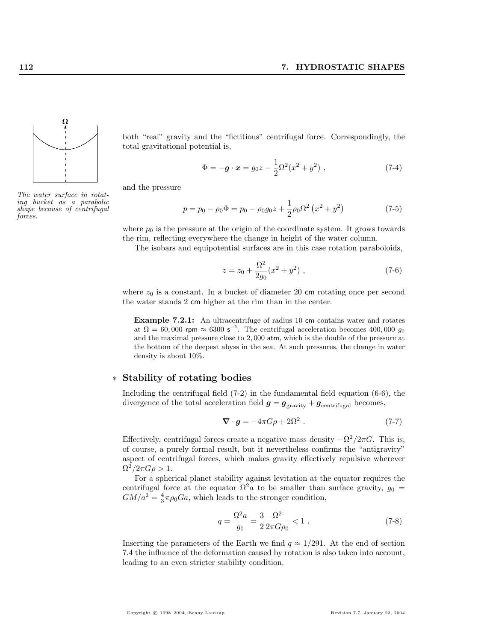

The water surface in rotating bucket as a parabolic shape because of centrifugal forces.

both "real" gravity and the "fictitious" centrifugal force. Correspondingly, the total gravitational potential is,

$$
\Phi = -\boldsymbol{g} \cdot \boldsymbol{x} = g_0 z - \frac{1}{2} \Omega^2 (x^2 + y^2) , \qquad (7-4)
$$

and the pressure

$$
p = p_0 - \rho_0 \Phi = p_0 - \rho_0 g_0 z + \frac{1}{2} \rho_0 \Omega^2 (x^2 + y^2)
$$
 (7-5)

where  $p_0$  is the pressure at the origin of the coordinate system. It grows towards the rim, reflecting everywhere the change in height of the water column.

The isobars and equipotential surfaces are in this case rotation paraboloids,

$$
z = z_0 + \frac{\Omega^2}{2g_0}(x^2 + y^2) , \qquad (7-6)
$$

where  $z_0$  is a constant. In a bucket of diameter 20 cm rotating once per second the water stands 2 cm higher at the rim than in the center.

Example 7.2.1: An ultracentrifuge of radius 10 cm contains water and rotates at  $\Omega = 60,000$  rpm  $\approx 6300$  s<sup>-1</sup>. The centrifugal acceleration becomes 400,000  $g_0$ and the maximal pressure close to 2, 000 atm, which is the double of the pressure at the bottom of the deepest abyss in the sea. At such pressures, the change in water density is about 10%.

#### ∗ Stability of rotating bodies

Including the centrifugal field  $(7-2)$  in the fundamental field equation  $(6-6)$ , the divergence of the total acceleration field  $g = g_{\text{gravity}} + g_{\text{centrifugal}}$  becomes,

$$
\nabla \cdot \boldsymbol{g} = -4\pi G\rho + 2\Omega^2 \ . \tag{7-7}
$$

Effectively, centrifugal forces create a negative mass density  $-\Omega^2/2\pi G$ . This is, of course, a purely formal result, but it nevertheless confirms the "antigravity" aspect of centrifugal forces, which makes gravity effectively repulsive wherever  $\Omega^2/2\pi G\rho > 1.$ 

For a spherical planet stability against levitation at the equator requires the centrifugal force at the equator  $\Omega^2 a$  to be smaller than surface gravity,  $g_0 =$  $GM/a^2 = \frac{4}{3}\pi\rho_0 Ga$ , which leads to the stronger condition,

$$
q = \frac{\Omega^2 a}{g_0} = \frac{3}{2} \frac{\Omega^2}{2\pi G \rho_0} < 1 \tag{7-8}
$$

Inserting the parameters of the Earth we find  $q \approx 1/291$ . At the end of section 7.4 the influence of the deformation caused by rotation is also taken into account, leading to an even stricter stability condition.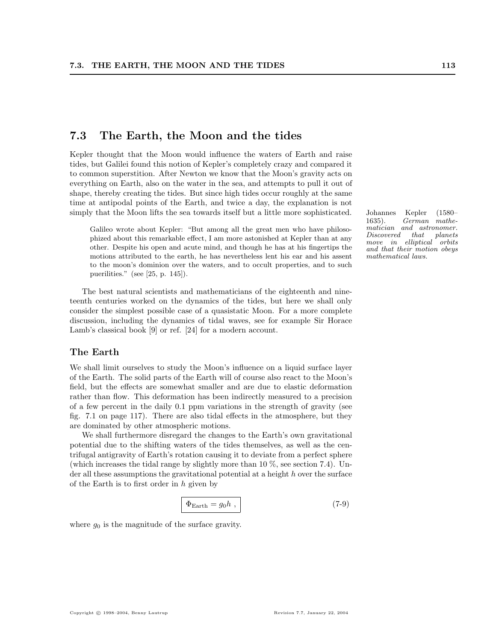# 7.3 The Earth, the Moon and the tides

Kepler thought that the Moon would influence the waters of Earth and raise tides, but Galilei found this notion of Kepler's completely crazy and compared it to common superstition. After Newton we know that the Moon's gravity acts on everything on Earth, also on the water in the sea, and attempts to pull it out of shape, thereby creating the tides. But since high tides occur roughly at the same time at antipodal points of the Earth, and twice a day, the explanation is not simply that the Moon lifts the sea towards itself but a little more sophisticated. Johannes Kepler (1580–

Galileo wrote about Kepler: "But among all the great men who have philosophized about this remarkable effect, I am more astonished at Kepler than at any other. Despite his open and acute mind, and though he has at his fingertips the motions attributed to the earth, he has nevertheless lent his ear and his assent to the moon's dominion over the waters, and to occult properties, and to such puerilities." (see [25, p. 145]).

The best natural scientists and mathematicians of the eighteenth and nineteenth centuries worked on the dynamics of the tides, but here we shall only consider the simplest possible case of a quasistatic Moon. For a more complete discussion, including the dynamics of tidal waves, see for example Sir Horace Lamb's classical book [9] or ref. [24] for a modern account.

#### The Earth

We shall limit ourselves to study the Moon's influence on a liquid surface layer of the Earth. The solid parts of the Earth will of course also react to the Moon's field, but the effects are somewhat smaller and are due to elastic deformation rather than flow. This deformation has been indirectly measured to a precision of a few percent in the daily 0.1 ppm variations in the strength of gravity (see fig. 7.1 on page 117). There are also tidal effects in the atmosphere, but they are dominated by other atmospheric motions.

We shall furthermore disregard the changes to the Earth's own gravitational potential due to the shifting waters of the tides themselves, as well as the centrifugal antigravity of Earth's rotation causing it to deviate from a perfect sphere (which increases the tidal range by slightly more than 10 %, see section 7.4). Under all these assumptions the gravitational potential at a height h over the surface of the Earth is to first order in  $h$  given by

$$
\Phi_{\text{Earth}} = g_0 h \ , \tag{7-9}
$$

where  $g_0$  is the magnitude of the surface gravity.

1635). German mathematician and astronomer. Discovered that planets move in elliptical orbits and that their motion obeys mathematical laws.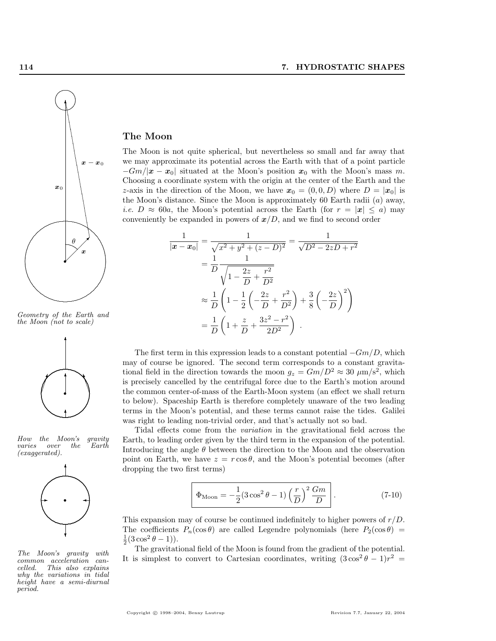

The Moon is not quite spherical, but nevertheless so small and far away that we may approximate its potential across the Earth with that of a point particle  $-Gm/|x-x_0|$  situated at the Moon's position  $x_0$  with the Moon's mass m. Choosing a coordinate system with the origin at the center of the Earth and the z-axis in the direction of the Moon, we have  $x_0 = (0,0,D)$  where  $D = |x_0|$  is the Moon's distance. Since the Moon is approximately 60 Earth radii (a) away, *i.e.*  $D \approx 60a$ , the Moon's potential across the Earth (for  $r = |\mathbf{x}| \le a$ ) may conveniently be expanded in powers of  $x/D$ , and we find to second order

$$
\frac{1}{|\mathbf{x} - \mathbf{x}_0|} = \frac{1}{\sqrt{x^2 + y^2 + (z - D)^2}} = \frac{1}{\sqrt{D^2 - 2zD + r^2}}
$$

$$
= \frac{1}{D} \frac{1}{\sqrt{1 - \frac{2z}{D} + \frac{r^2}{D^2}}}
$$

$$
\approx \frac{1}{D} \left( 1 - \frac{1}{2} \left( -\frac{2z}{D} + \frac{r^2}{D^2} \right) + \frac{3}{8} \left( -\frac{2z}{D} \right)^2 \right)
$$

$$
= \frac{1}{D} \left( 1 + \frac{z}{D} + \frac{3z^2 - r^2}{2D^2} \right).
$$

The first term in this expression leads to a constant potential  $-Gm/D$ , which may of course be ignored. The second term corresponds to a constant gravitational field in the direction towards the moon  $g_z = Gm/D^2 \approx 30 \ \mu \text{m/s}^2$ , which is precisely cancelled by the centrifugal force due to the Earth's motion around the common center-of-mass of the Earth-Moon system (an effect we shall return to below). Spaceship Earth is therefore completely unaware of the two leading terms in the Moon's potential, and these terms cannot raise the tides. Galilei was right to leading non-trivial order, and that's actually not so bad.

Tidal effects come from the variation in the gravitational field across the Earth, to leading order given by the third term in the expansion of the potential. Introducing the angle  $\theta$  between the direction to the Moon and the observation point on Earth, we have  $z = r \cos \theta$ , and the Moon's potential becomes (after dropping the two first terms)

$$
\Phi_{\text{Moon}} = -\frac{1}{2} (3\cos^2\theta - 1) \left(\frac{r}{D}\right)^2 \frac{Gm}{D} \qquad (7-10)
$$

This expansion may of course be continued indefinitely to higher powers of  $r/D$ . The coefficients  $P_n(\cos \theta)$  are called Legendre polynomials (here  $P_2(\cos \theta)$  =  $\frac{1}{2}(3\cos^2\theta-1)).$ 

The gravitational field of the Moon is found from the gradient of the potential. It is simplest to convert to Cartesian coordinates, writing  $(3\cos^2\theta - 1)r^2$ 



. .... .................... .

Geometry of the Earth and the Moon (not to scale)



How the Moon's gravity varies over the Earth (exaggerated).



The Moon's gravity with common acceleration cancelled. This also explains why the variations in tidal height have a semi-diurnal period.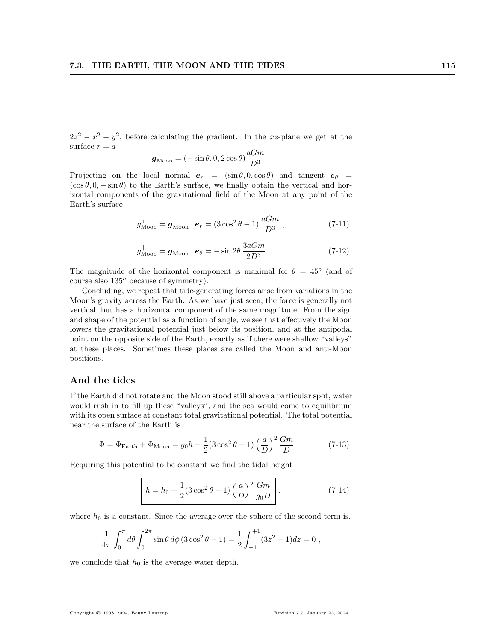$2z^2 - x^2 - y^2$ , before calculating the gradient. In the xz-plane we get at the surface  $r = a$ 

$$
\boldsymbol{g}_\mathrm{Moon}=(-\sin\theta,0,2\cos\theta)\frac{aGm}{D^3}
$$

Projecting on the local normal  $e_r = (\sin \theta, 0, \cos \theta)$  and tangent  $e_{\theta}$  $(\cos \theta, 0, -\sin \theta)$  to the Earth's surface, we finally obtain the vertical and horizontal components of the gravitational field of the Moon at any point of the Earth's surface

$$
g_{\text{Moon}}^{\perp} = \boldsymbol{g}_{\text{Moon}} \cdot \boldsymbol{e}_r = (3\cos^2\theta - 1) \frac{aGm}{D^3} , \qquad (7-11)
$$

.

$$
g_{\text{Moon}}^{\parallel} = \boldsymbol{g}_{\text{Moon}} \cdot \boldsymbol{e}_{\theta} = -\sin 2\theta \, \frac{3aGm}{2D^3} \ . \tag{7-12}
$$

The magnitude of the horizontal component is maximal for  $\theta = 45^{\circ}$  (and of course also  $135^{\circ}$  because of symmetry).

Concluding, we repeat that tide-generating forces arise from variations in the Moon's gravity across the Earth. As we have just seen, the force is generally not vertical, but has a horizontal component of the same magnitude. From the sign and shape of the potential as a function of angle, we see that effectively the Moon lowers the gravitational potential just below its position, and at the antipodal point on the opposite side of the Earth, exactly as if there were shallow "valleys" at these places. Sometimes these places are called the Moon and anti-Moon positions.

#### And the tides

If the Earth did not rotate and the Moon stood still above a particular spot, water would rush in to fill up these "valleys", and the sea would come to equilibrium with its open surface at constant total gravitational potential. The total potential near the surface of the Earth is

$$
\Phi = \Phi_{\text{Earth}} + \Phi_{\text{Moon}} = g_0 h - \frac{1}{2} (3 \cos^2 \theta - 1) \left(\frac{a}{D}\right)^2 \frac{Gm}{D} , \qquad (7-13)
$$

Requiring this potential to be constant we find the tidal height

$$
h = h_0 + \frac{1}{2} (3 \cos^2 \theta - 1) \left(\frac{a}{D}\right)^2 \frac{Gm}{g_0 D},
$$
 (7-14)

where  $h_0$  is a constant. Since the average over the sphere of the second term is,

$$
\frac{1}{4\pi} \int_0^{\pi} d\theta \int_0^{2\pi} \sin \theta \, d\phi \, (3\cos^2 \theta - 1) = \frac{1}{2} \int_{-1}^{+1} (3z^2 - 1) dz = 0,
$$

we conclude that  $h_0$  is the average water depth.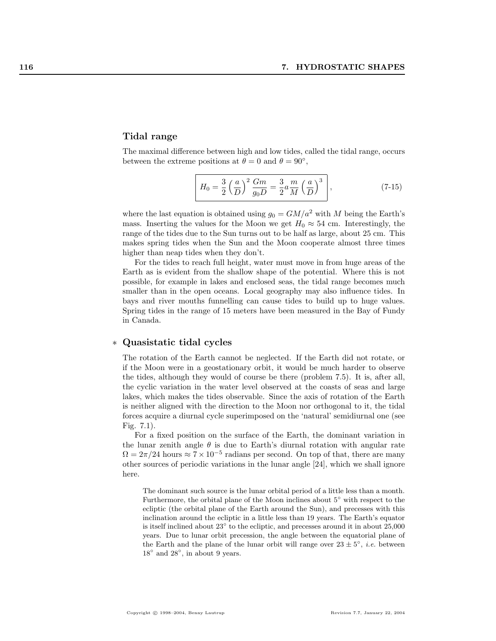#### Tidal range

The maximal difference between high and low tides, called the tidal range, occurs between the extreme positions at  $\theta = 0$  and  $\theta = 90^{\circ}$ ,

$$
H_0 = \frac{3}{2} \left(\frac{a}{D}\right)^2 \frac{Gm}{g_0 D} = \frac{3}{2} a \frac{m}{M} \left(\frac{a}{D}\right)^3,
$$
 (7-15)

where the last equation is obtained using  $g_0 = GM/a^2$  with M being the Earth's mass. Inserting the values for the Moon we get  $H_0 \approx 54$  cm. Interestingly, the range of the tides due to the Sun turns out to be half as large, about 25 cm. This makes spring tides when the Sun and the Moon cooperate almost three times higher than neap tides when they don't.

For the tides to reach full height, water must move in from huge areas of the Earth as is evident from the shallow shape of the potential. Where this is not possible, for example in lakes and enclosed seas, the tidal range becomes much smaller than in the open oceans. Local geography may also influence tides. In bays and river mouths funnelling can cause tides to build up to huge values. Spring tides in the range of 15 meters have been measured in the Bay of Fundy in Canada.

#### ∗ Quasistatic tidal cycles

The rotation of the Earth cannot be neglected. If the Earth did not rotate, or if the Moon were in a geostationary orbit, it would be much harder to observe the tides, although they would of course be there (problem 7.5). It is, after all, the cyclic variation in the water level observed at the coasts of seas and large lakes, which makes the tides observable. Since the axis of rotation of the Earth is neither aligned with the direction to the Moon nor orthogonal to it, the tidal forces acquire a diurnal cycle superimposed on the 'natural' semidiurnal one (see Fig. 7.1).

For a fixed position on the surface of the Earth, the dominant variation in the lunar zenith angle  $\theta$  is due to Earth's diurnal rotation with angular rate  $\Omega = 2\pi/24$  hours  $\approx 7 \times 10^{-5}$  radians per second. On top of that, there are many other sources of periodic variations in the lunar angle [24], which we shall ignore here.

The dominant such source is the lunar orbital period of a little less than a month. Furthermore, the orbital plane of the Moon inclines about 5◦ with respect to the ecliptic (the orbital plane of the Earth around the Sun), and precesses with this inclination around the ecliptic in a little less than 19 years. The Earth's equator is itself inclined about  $23^{\circ}$  to the ecliptic, and precesses around it in about  $25,000$ years. Due to lunar orbit precession, the angle between the equatorial plane of the Earth and the plane of the lunar orbit will range over  $23 \pm 5^{\circ}$ , *i.e.* between  $18^\circ$  and  $28^\circ$ , in about 9 years.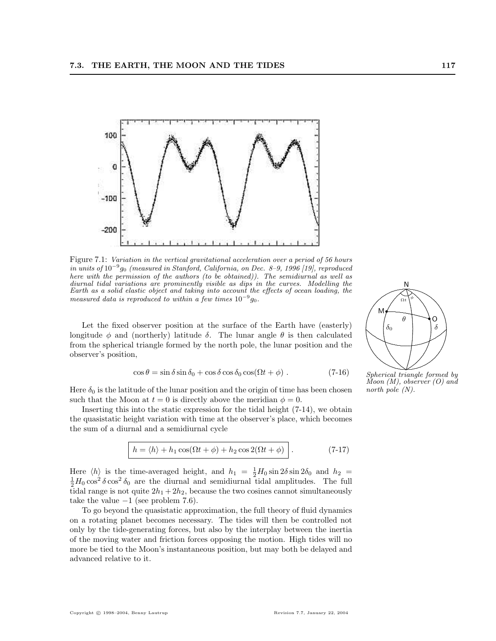

Figure 7.1: Variation in the vertical gravitational acceleration over a period of 56 hours in units of  $10^{-9}g_0$  (measured in Stanford, California, on Dec. 8-9, 1996 [19], reproduced here with the permission of the authors (to be obtained)). The semidiurnal as well as diurnal tidal variations are prominently visible as dips in the curves. Modelling the Earth as a solid elastic object and taking into account the effects of ocean loading, the measured data is reproduced to within a few times  $10^{-9}g_0$ .

Let the fixed observer position at the surface of the Earth have (easterly) longitude  $\phi$  and (northerly) latitude  $\delta$ . The lunar angle  $\theta$  is then calculated from the spherical triangle formed by the north pole, the lunar position and the observer's position,

$$
\cos \theta = \sin \delta \sin \delta_0 + \cos \delta \cos \delta_0 \cos(\Omega t + \phi) . \tag{7-16}
$$

Here  $\delta_0$  is the latitude of the lunar position and the origin of time has been chosen such that the Moon at  $t = 0$  is directly above the meridian  $\phi = 0$ .

Inserting this into the static expression for the tidal height (7-14), we obtain the quasistatic height variation with time at the observer's place, which becomes the sum of a diurnal and a semidiurnal cycle

$$
h = \langle h \rangle + h_1 \cos(\Omega t + \phi) + h_2 \cos 2(\Omega t + \phi) \quad . \tag{7-17}
$$

Here  $\langle h \rangle$  is the time-averaged height, and  $h_1 = \frac{1}{2}H_0 \sin 2\delta \sin 2\delta_0$  and  $h_2 =$  $\frac{1}{2}H_0 \cos^2 \delta \cos^2 \delta_0$  are the diurnal and semidiurnal tidal amplitudes. The full tidal range is not quite  $2h_1 + 2h_2$ , because the two cosines cannot simultaneously take the value  $-1$  (see problem 7.6).

To go beyond the quasistatic approximation, the full theory of fluid dynamics on a rotating planet becomes necessary. The tides will then be controlled not only by the tide-generating forces, but also by the interplay between the inertia of the moving water and friction forces opposing the motion. High tides will no more be tied to the Moon's instantaneous position, but may both be delayed and advanced relative to it.



Spherical triangle formed by Moon (M), observer (O) and north pole (N).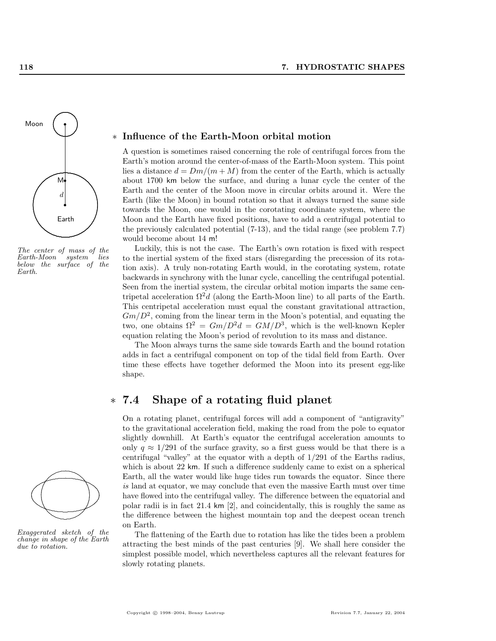

The center of mass of the<br>Earth-Moon system lies  $Earth-Moon$  system below the surface of the Earth.



Exaggerated sketch of the change in shape of the Earth due to rotation.

#### ∗ Influence of the Earth-Moon orbital motion

A question is sometimes raised concerning the role of centrifugal forces from the Earth's motion around the center-of-mass of the Earth-Moon system. This point lies a distance  $d = Dm/(m + M)$  from the center of the Earth, which is actually about 1700 km below the surface, and during a lunar cycle the center of the Earth and the center of the Moon move in circular orbits around it. Were the Earth (like the Moon) in bound rotation so that it always turned the same side towards the Moon, one would in the corotating coordinate system, where the Moon and the Earth have fixed positions, have to add a centrifugal potential to the previously calculated potential (7-13), and the tidal range (see problem 7.7) would become about 14 m!

Luckily, this is not the case. The Earth's own rotation is fixed with respect to the inertial system of the fixed stars (disregarding the precession of its rotation axis). A truly non-rotating Earth would, in the corotating system, rotate backwards in synchrony with the lunar cycle, cancelling the centrifugal potential. Seen from the inertial system, the circular orbital motion imparts the same centripetal acceleration  $\Omega^2 d$  (along the Earth-Moon line) to all parts of the Earth. This centripetal acceleration must equal the constant gravitational attraction,  $Gm/D^2$ , coming from the linear term in the Moon's potential, and equating the two, one obtains  $\Omega^2 = Gm/D^2d = GM/D^3$ , which is the well-known Kepler equation relating the Moon's period of revolution to its mass and distance.

The Moon always turns the same side towards Earth and the bound rotation adds in fact a centrifugal component on top of the tidal field from Earth. Over time these effects have together deformed the Moon into its present egg-like shape.

## ∗ 7.4 Shape of a rotating fluid planet

On a rotating planet, centrifugal forces will add a component of "antigravity" to the gravitational acceleration field, making the road from the pole to equator slightly downhill. At Earth's equator the centrifugal acceleration amounts to only  $q \approx 1/291$  of the surface gravity, so a first guess would be that there is a centrifugal "valley" at the equator with a depth of 1/291 of the Earths radius, which is about 22 km. If such a difference suddenly came to exist on a spherical Earth, all the water would like huge tides run towards the equator. Since there is land at equator, we may conclude that even the massive Earth must over time have flowed into the centrifugal valley. The difference between the equatorial and polar radii is in fact 21.4 km [2], and coincidentally, this is roughly the same as the difference between the highest mountain top and the deepest ocean trench on Earth.

The flattening of the Earth due to rotation has like the tides been a problem attracting the best minds of the past centuries [9]. We shall here consider the simplest possible model, which nevertheless captures all the relevant features for slowly rotating planets.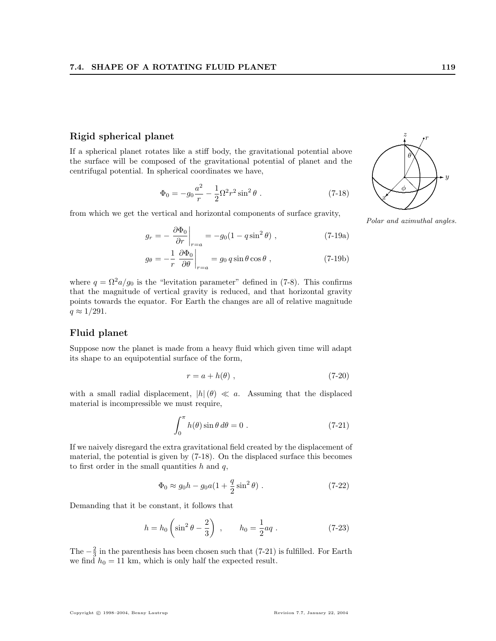# Rigid spherical planet

If a spherical planet rotates like a stiff body, the gravitational potential above the surface will be composed of the gravitational potential of planet and the centrifugal potential. In spherical coordinates we have,

$$
\Phi_0 = -g_0 \frac{a^2}{r} - \frac{1}{2} \Omega^2 r^2 \sin^2 \theta \ . \tag{7-18}
$$

from which we get the vertical and horizontal components of surface gravity,

$$
g_r = -\left. \frac{\partial \Phi_0}{\partial r} \right|_{r=a} = -g_0 (1 - q \sin^2 \theta) , \qquad (7-19a)
$$

$$
g_{\theta} = -\frac{1}{r} \left. \frac{\partial \Phi_0}{\partial \theta} \right|_{r=a} = g_0 q \sin \theta \cos \theta , \qquad (7-19b)
$$

where  $q = \Omega^2 a/g_0$  is the "levitation parameter" defined in (7-8). This confirms that the magnitude of vertical gravity is reduced, and that horizontal gravity points towards the equator. For Earth the changes are all of relative magnitude  $q \approx 1/291$ .

### Fluid planet

Suppose now the planet is made from a heavy fluid which given time will adapt its shape to an equipotential surface of the form,

$$
r = a + h(\theta) \tag{7-20}
$$

with a small radial displacement,  $|h|(\theta) \ll a$ . Assuming that the displaced material is incompressible we must require,

$$
\int_0^{\pi} h(\theta) \sin \theta \, d\theta = 0 \tag{7-21}
$$

If we naively disregard the extra gravitational field created by the displacement of material, the potential is given by (7-18). On the displaced surface this becomes to first order in the small quantities  $h$  and  $q$ ,

$$
\Phi_0 \approx g_0 h - g_0 a (1 + \frac{q}{2} \sin^2 \theta) \tag{7-22}
$$

Demanding that it be constant, it follows that

$$
h = h_0 \left( \sin^2 \theta - \frac{2}{3} \right) , \qquad h_0 = \frac{1}{2} aq . \tag{7-23}
$$

The  $-\frac{2}{3}$  in the parenthesis has been chosen such that (7-21) is fulfilled. For Earth we find  $h_0 = 11$  km, which is only half the expected result.



Polar and azimuthal angles.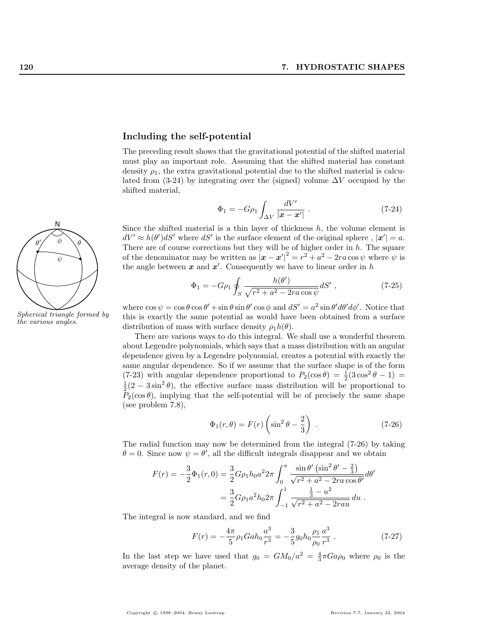$\begin{array}{ccc} \cdot & \cdot & \cdot & \cdot \\ \cdot & \cdot & \cdot & \cdot \end{array}$  $\downarrow$ 

. Spherical triangle formed by

#### Including the self-potential

The preceding result shows that the gravitational potential of the shifted material must play an important role. Assuming that the shifted material has constant density  $\rho_1$ , the extra gravitational potential due to the shifted material is calculated from (3-24) by integrating over the (signed) volume  $\Delta V$  occupied by the shifted material,

$$
\Phi_1 = -G\rho_1 \int_{\Delta V} \frac{dV'}{|\mathbf{x} - \mathbf{x}'|} \,. \tag{7-24}
$$

Since the shifted material is a thin layer of thickness  $h$ , the volume element is  $dV' \approx h(\theta')dS'$  where  $dS'$  is the surface element of the original sphere,  $|\mathbf{x}'| = a$ . There are of course corrections but they will be of higher order in  $h$ . The square of the denominator may be written as  $|x - x'|^2 = r^2 + a^2 - 2ra \cos \psi$  where  $\psi$  is the angle between  $x$  and  $x'$ . Consequently we have to linear order in h

$$
\Phi_1 = -G\rho_1 \oint_S \frac{h(\theta')}{\sqrt{r^2 + a^2 - 2ra\cos\psi}} dS' \,,\tag{7-25}
$$

where  $\cos \psi = \cos \theta \cos \theta' + \sin \theta \sin \theta' \cos \phi$  and  $dS' = a^2 \sin \theta' d\theta' d\phi'$ . Notice that  $Spherical triangle formed by$  this is exactly the same potential as would have been obtained from a surface the various angles. distribution of mass with surface density  $\rho_1 h(\theta)$ .

> There are various ways to do this integral. We shall use a wonderful theorem about Legendre polynomials, which says that a mass distribution with an angular dependence given by a Legendre polynomial, creates a potential with exactly the same angular dependence. So if we assume that the surface shape is of the form (7-23) with angular dependence proportional to  $P_2(\cos \theta) = \frac{1}{2}(3\cos^2 \theta - 1)$  $\frac{1}{2}(2-3\sin^2\theta)$ , the effective surface mass distribution will be proportional to  $\overline{P}_2(\cos\theta)$ , implying that the self-potential will be of precisely the same shape (see problem 7.8),

$$
\Phi_1(r,\theta) = F(r) \left( \sin^2 \theta - \frac{2}{3} \right) . \tag{7-26}
$$

The radial function may now be determined from the integral (7-26) by taking  $\theta = 0$ . Since now  $\psi = \theta'$ , all the difficult integrals disappear and we obtain

$$
F(r) = -\frac{3}{2}\Phi_1(r,0) = \frac{3}{2}G\rho_1h_0a^22\pi \int_0^\pi \frac{\sin\theta'\left(\sin^2\theta' - \frac{2}{3}\right)}{\sqrt{r^2 + a^2 - 2ra\cos\theta'}}d\theta'
$$

$$
= \frac{3}{2}G\rho_1a^2h_02\pi \int_{-1}^1 \frac{\frac{1}{3} - u^2}{\sqrt{r^2 + a^2 - 2rau}}du.
$$

The integral is now standard, and we find

$$
F(r) = -\frac{4\pi}{5}\rho_1 G a h_0 \frac{a^3}{r^3} = -\frac{3}{5}g_0 h_0 \frac{\rho_1}{\rho_0} \frac{a^3}{r^3} . \qquad (7-27)
$$

In the last step we have used that  $g_0 = GM_0/a^2 = \frac{4}{3}\pi Ga\rho_0$  where  $\rho_0$  is the average density of the planet.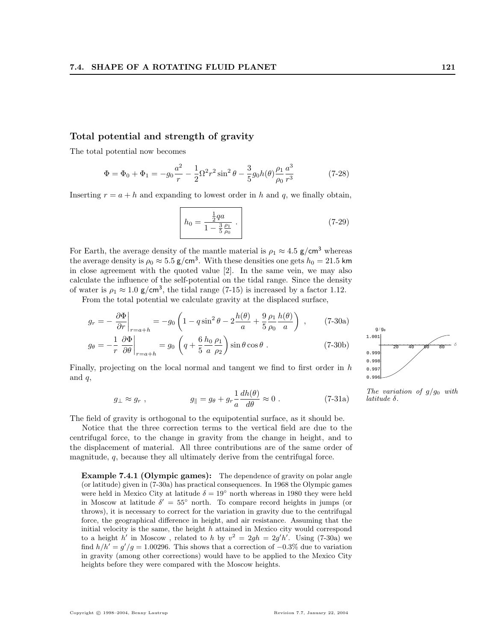#### Total potential and strength of gravity

The total potential now becomes

$$
\Phi = \Phi_0 + \Phi_1 = -g_0 \frac{a^2}{r} - \frac{1}{2} \Omega^2 r^2 \sin^2 \theta - \frac{3}{5} g_0 h(\theta) \frac{\rho_1}{\rho_0} \frac{a^3}{r^3}
$$
(7-28)

Inserting  $r = a + h$  and expanding to lowest order in h and q, we finally obtain,

$$
h_0 = \frac{\frac{1}{2}qa}{1 - \frac{3}{5}\frac{\rho_1}{\rho_0}} \tag{7-29}
$$

For Earth, the average density of the mantle material is  $\rho_1 \approx 4.5$  g/cm<sup>3</sup> whereas the average density is  $\rho_0 \approx 5.5 \text{ g/cm}^3$ . With these densities one gets  $h_0 = 21.5 \text{ km}$ in close agreement with the quoted value [2]. In the same vein, we may also calculate the influence of the self-potential on the tidal range. Since the density of water is  $\rho_1 \approx 1.0$  g/cm<sup>3</sup>, the tidal range (7-15) is increased by a factor 1.12.

From the total potential we calculate gravity at the displaced surface,

$$
g_r = -\frac{\partial \Phi}{\partial r}\Big|_{r=a+h} = -g_0 \left(1 - q \sin^2 \theta - 2\frac{h(\theta)}{a} + \frac{9}{5} \frac{\rho_1}{\rho_0} \frac{h(\theta)}{a}\right) ,\qquad(7-30a)
$$

$$
g_{\theta} = -\frac{1}{r} \left. \frac{\partial \Phi}{\partial \theta} \right|_{r=a+h} = g_0 \left( q + \frac{6}{5} \frac{h_0}{a} \frac{\rho_1}{\rho_2} \right) \sin \theta \cos \theta \tag{7-30b}
$$

Finally, projecting on the local normal and tangent we find to first order in h and  $q$ ,

$$
g_{\perp} \approx g_r
$$
,  $g_{\parallel} = g_{\theta} + g_r \frac{1}{a} \frac{dh(\theta)}{d\theta} \approx 0$ . (7-31a) *Integrate of the variable*  $\delta$ .

The field of gravity is orthogonal to the equipotential surface, as it should be.

Notice that the three correction terms to the vertical field are due to the centrifugal force, to the change in gravity from the change in height, and to the displacement of material. All three contributions are of the same order of magnitude,  $q$ , because they all ultimately derive from the centrifugal force.

Example 7.4.1 (Olympic games): The dependence of gravity on polar angle (or latitude) given in (7-30a) has practical consequences. In 1968 the Olympic games were held in Mexico City at latitude  $\delta = 19^{\circ}$  north whereas in 1980 they were held in Moscow at latitude  $\delta' = 55^{\circ}$  north. To compare record heights in jumps (or throws), it is necessary to correct for the variation in gravity due to the centrifugal force, the geographical difference in height, and air resistance. Assuming that the initial velocity is the same, the height  $h$  attained in Mexico city would correspond to a height h' in Moscow, related to h by  $v^2 = 2gh = 2g'h'$ . Using (7-30a) we find  $h/h' = g'/g = 1.00296$ . This shows that a correction of  $-0.3\%$  due to variation in gravity (among other corrections) would have to be applied to the Mexico City heights before they were compared with the Moscow heights.



The variation of  $g/g_0$  with latitude  $\delta$ .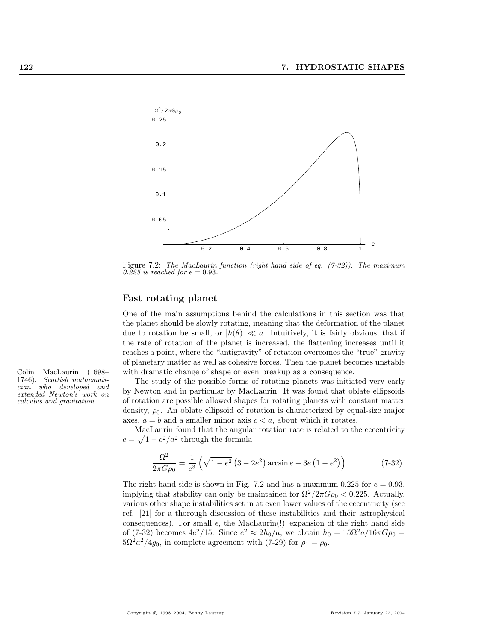

Figure 7.2: The MacLaurin function (right hand side of eq. (7-32)). The maximum 0.225 is reached for  $e = 0.93$ .

#### Fast rotating planet

One of the main assumptions behind the calculations in this section was that the planet should be slowly rotating, meaning that the deformation of the planet due to rotation be small, or  $|h(\theta)| \ll a$ . Intuitively, it is fairly obvious, that if the rate of rotation of the planet is increased, the flattening increases until it reaches a point, where the "antigravity" of rotation overcomes the "true" gravity of planetary matter as well as cohesive forces. Then the planet becomes unstable Colin MacLaurin (1698– with dramatic change of shape or even breakup as a consequence.

> The study of the possible forms of rotating planets was initiated very early by Newton and in particular by MacLaurin. It was found that oblate ellipsoids of rotation are possible allowed shapes for rotating planets with constant matter density,  $\rho_0$ . An oblate ellipsoid of rotation is characterized by equal-size major axes,  $a = b$  and a smaller minor axis  $c < a$ , about which it rotates.

> MacLaurin found that the angular rotation rate is related to the eccentricity  $e = \sqrt{1 - c^2/a^2}$  through the formula

$$
\frac{\Omega^2}{2\pi G \rho_0} = \frac{1}{e^3} \left( \sqrt{1 - e^2} \left( 3 - 2e^2 \right) \arcsin e - 3e \left( 1 - e^2 \right) \right) \,. \tag{7-32}
$$

The right hand side is shown in Fig. 7.2 and has a maximum 0.225 for  $e = 0.93$ , implying that stability can only be maintained for  $\Omega^2/2\pi G\rho_0 < 0.225$ . Actually, various other shape instabilities set in at even lower values of the eccentricity (see ref. [21] for a thorough discussion of these instabilities and their astrophysical consequences). For small  $e$ , the MacLaurin(!) expansion of the right hand side of (7-32) becomes  $4e^2/15$ . Since  $e^2 \approx 2h_0/a$ , we obtain  $h_0 = 15\Omega^2 a/16\pi G\rho_0 =$  $5\Omega^2 a^2/4g_0$ , in complete agreement with (7-29) for  $\rho_1 = \rho_0$ .

1746). Scottish mathematician who developed and extended Newton's work on calculus and gravitation.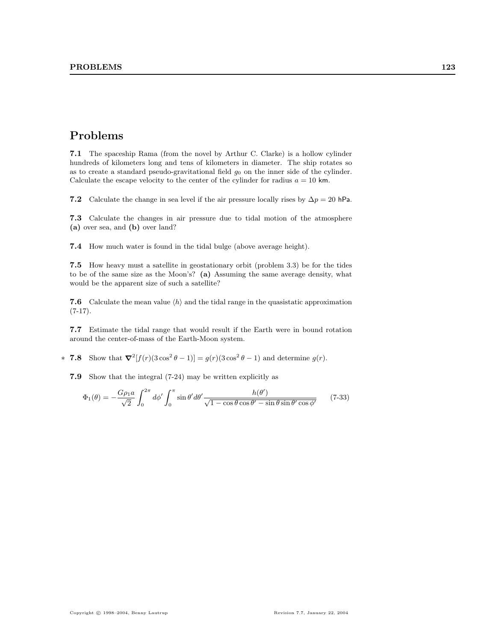# Problems

7.1 The spaceship Rama (from the novel by Arthur C. Clarke) is a hollow cylinder hundreds of kilometers long and tens of kilometers in diameter. The ship rotates so as to create a standard pseudo-gravitational field  $g_0$  on the inner side of the cylinder. Calculate the escape velocity to the center of the cylinder for radius  $a = 10$  km.

7.2 Calculate the change in sea level if the air pressure locally rises by  $\Delta p = 20$  hPa.

7.3 Calculate the changes in air pressure due to tidal motion of the atmosphere (a) over sea, and (b) over land?

7.4 How much water is found in the tidal bulge (above average height).

7.5 How heavy must a satellite in geostationary orbit (problem 3.3) be for the tides to be of the same size as the Moon's? (a) Assuming the same average density, what would be the apparent size of such a satellite?

7.6 Calculate the mean value  $\langle h \rangle$  and the tidal range in the quasistatic approximation  $(7-17).$ 

7.7 Estimate the tidal range that would result if the Earth were in bound rotation around the center-of-mass of the Earth-Moon system.

**∗ 7.8** Show that  $\nabla^2 [f(r)(3\cos^2 \theta - 1)] = g(r)(3\cos^2 \theta - 1)$  and determine  $g(r)$ .

7.9 Show that the integral (7-24) may be written explicitly as

$$
\Phi_1(\theta) = -\frac{G\rho_1 a}{\sqrt{2}} \int_0^{2\pi} d\phi' \int_0^{\pi} \sin\theta' d\theta' \frac{h(\theta')}{\sqrt{1 - \cos\theta \cos\theta' - \sin\theta \sin\theta' \cos\phi'}} \tag{7-33}
$$